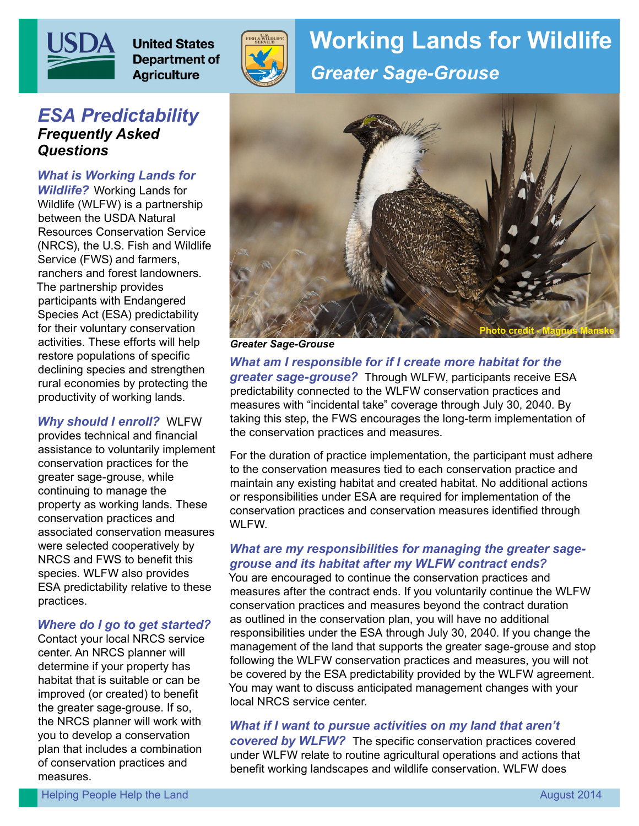

# *ESA Predictability Frequently Asked Questions*

*What is Working Lands for Wildlife?* Working Lands for Wildlife (WLFW) is a partnership between the USDA Natural Resources Conservation Service (NRCS), the U.S. Fish and Wildlife Service (FWS) and farmers, ranchers and forest landowners. The partnership provides participants with Endangered Species Act (ESA) predictability for their voluntary conservation activities. These efforts will help restore populations of specific declining species and strengthen rural economies by protecting the productivity of working lands.

#### *Why should I enroll?* WLFW

provides technical and financial assistance to voluntarily implement conservation practices for the greater sage-grouse, while continuing to manage the property as working lands. These conservation practices and associated conservation measures were selected cooperatively by NRCS and FWS to benefit this species. WLFW also provides ESA predictability relative to these practices.

#### *Where do I go to get started?*

Contact your local NRCS service center. An NRCS planner will determine if your property has habitat that is suitable or can be improved (or created) to benefit the greater sage-grouse. If so, the NRCS planner will work with you to develop a conservation plan that includes a combination of conservation practices and measures.



# **Working Lands for Wildlife** *Greater Sage-Grouse*



*Greater Sage-Grouse*

*What am I responsible for if I create more habitat for the greater sage-grouse?* Through WLFW, participants receive ESA predictability connected to the WLFW conservation practices and measures with "incidental take" coverage through July 30, 2040. By taking this step, the FWS encourages the long-term implementation of the conservation practices and measures.

For the duration of practice implementation, the participant must adhere to the conservation measures tied to each conservation practice and maintain any existing habitat and created habitat. No additional actions or responsibilities under ESA are required for implementation of the conservation practices and conservation measures identified through WLFW.

#### *What are my responsibilities for managing the greater sagegrouse and its habitat after my WLFW contract ends?*

You are encouraged to continue the conservation practices and measures after the contract ends. If you voluntarily continue the WLFW conservation practices and measures beyond the contract duration as outlined in the conservation plan, you will have no additional responsibilities under the ESA through July 30, 2040. If you change the management of the land that supports the greater sage-grouse and stop following the WLFW conservation practices and measures, you will not be covered by the ESA predictability provided by the WLFW agreement. You may want to discuss anticipated management changes with your local NRCS service center.

*What if I want to pursue activities on my land that aren't covered by WLFW?* The specific conservation practices covered under WLFW relate to routine agricultural operations and actions that benefit working landscapes and wildlife conservation. WLFW does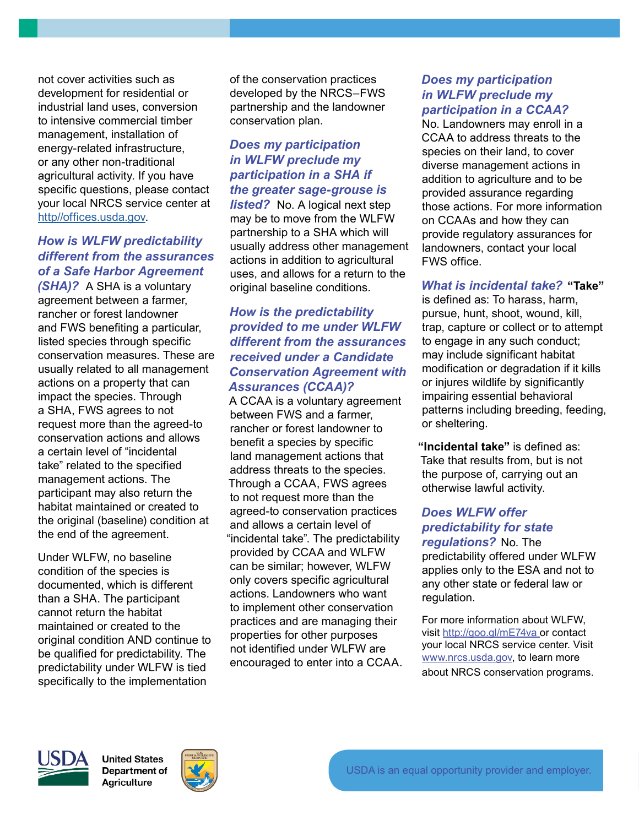not cover activities such as development for residential or industrial land uses, conversion to intensive commercial timber management, installation of energy-related infrastructure, or any other non-traditional agricultural activity. If you have specific questions, please contact your local NRCS service center at [http//offices.usda.gov](http://http//offices.usda.gov).

## *How is WLFW predictability different from the assurances of a Safe Harbor Agreement*

*(SHA)?* A SHA is a voluntary agreement between a farmer, rancher or forest landowner and FWS benefiting a particular, listed species through specific conservation measures. These are usually related to all management actions on a property that can impact the species. Through a SHA, FWS agrees to not request more than the agreed-to conservation actions and allows a certain level of "incidental take" related to the specified management actions. The participant may also return the habitat maintained or created to the original (baseline) condition at the end of the agreement.

Under WLFW, no baseline condition of the species is documented, which is different than a SHA. The participant cannot return the habitat maintained or created to the original condition AND continue to be qualified for predictability. The predictability under WLFW is tied specifically to the implementation

of the conservation practices developed by the NRCS–FWS partnership and the landowner conservation plan.

## *Does my participation in WLFW preclude my participation in a SHA if the greater sage-grouse is*

*listed?* No. A logical next step may be to move from the WLFW partnership to a SHA which will usually address other management actions in addition to agricultural uses, and allows for a return to the original baseline conditions.

### *How is the predictability provided to me under WLFW different from the assurances received under a Candidate Conservation Agreement with Assurances (CCAA)?*

A CCAA is a voluntary agreement between FWS and a farmer, rancher or forest landowner to benefit a species by specific land management actions that address threats to the species. Through a CCAA, FWS agrees to not request more than the agreed-to conservation practices and allows a certain level of "incidental take". The predictability provided by CCAA and WLFW can be similar; however, WLFW only covers specific agricultural actions. Landowners who want to implement other conservation practices and are managing their properties for other purposes not identified under WLFW are encouraged to enter into a CCAA.

#### *Does my participation in WLFW preclude my participation in a CCAA?*

No. Landowners may enroll in a CCAA to address threats to the species on their land, to cover diverse management actions in addition to agriculture and to be provided assurance regarding those actions. For more information on CCAAs and how they can provide regulatory assurances for landowners, contact your local FWS office.

### *What is incidental take?* **"Take"**

is defined as: To harass, harm, pursue, hunt, shoot, wound, kill, trap, capture or collect or to attempt to engage in any such conduct; may include significant habitat modification or degradation if it kills or injures wildlife by significantly impairing essential behavioral patterns including breeding, feeding, or sheltering.

**"Incidental take"** is defined as: Take that results from, but is not the purpose of, carrying out an otherwise lawful activity.

# *Does WLFW offer predictability for state*

*regulations?* No. The predictability offered under WLFW applies only to the ESA and not to any other state or federal law or regulation.

For more information about WLFW, visit http://goo.gl/mE74va or contact your local NRCS service center. Visit www.nrcs.usda.gov, to learn more about NRCS conservation programs.



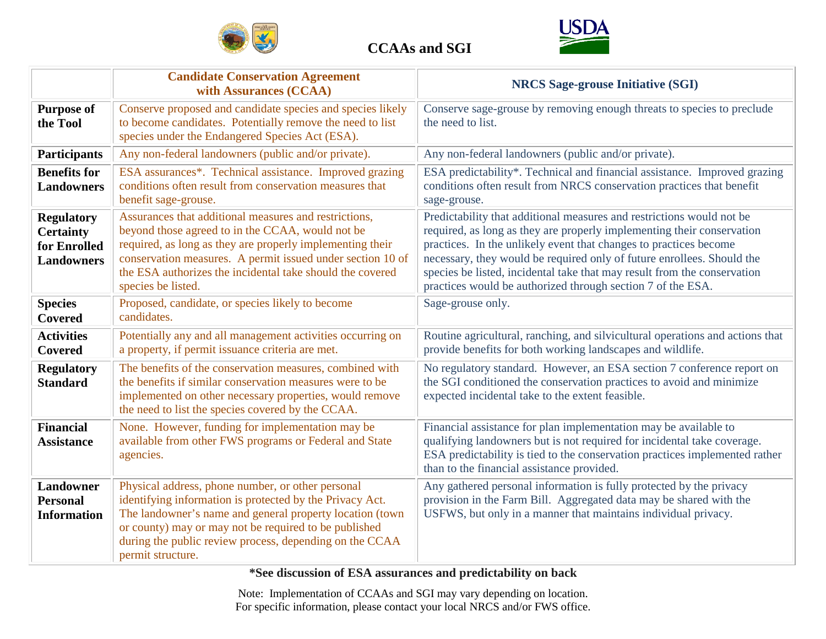



|                                                                            | <b>Candidate Conservation Agreement</b><br>with Assurances (CCAA)                                                                                                                                                                                                                                                       | <b>NRCS Sage-grouse Initiative (SGI)</b>                                                                                                                                                                                                                                                                                                                                                                                                  |
|----------------------------------------------------------------------------|-------------------------------------------------------------------------------------------------------------------------------------------------------------------------------------------------------------------------------------------------------------------------------------------------------------------------|-------------------------------------------------------------------------------------------------------------------------------------------------------------------------------------------------------------------------------------------------------------------------------------------------------------------------------------------------------------------------------------------------------------------------------------------|
| <b>Purpose of</b><br>the Tool                                              | Conserve proposed and candidate species and species likely<br>to become candidates. Potentially remove the need to list<br>species under the Endangered Species Act (ESA).                                                                                                                                              | Conserve sage-grouse by removing enough threats to species to preclude<br>the need to list.                                                                                                                                                                                                                                                                                                                                               |
| <b>Participants</b>                                                        | Any non-federal landowners (public and/or private).                                                                                                                                                                                                                                                                     | Any non-federal landowners (public and/or private).                                                                                                                                                                                                                                                                                                                                                                                       |
| <b>Benefits for</b><br><b>Landowners</b>                                   | ESA assurances <sup>*</sup> . Technical assistance. Improved grazing<br>conditions often result from conservation measures that<br>benefit sage-grouse.                                                                                                                                                                 | ESA predictability*. Technical and financial assistance. Improved grazing<br>conditions often result from NRCS conservation practices that benefit<br>sage-grouse.                                                                                                                                                                                                                                                                        |
| <b>Regulatory</b><br><b>Certainty</b><br>for Enrolled<br><b>Landowners</b> | Assurances that additional measures and restrictions,<br>beyond those agreed to in the CCAA, would not be<br>required, as long as they are properly implementing their<br>conservation measures. A permit issued under section 10 of<br>the ESA authorizes the incidental take should the covered<br>species be listed. | Predictability that additional measures and restrictions would not be<br>required, as long as they are properly implementing their conservation<br>practices. In the unlikely event that changes to practices become<br>necessary, they would be required only of future enrollees. Should the<br>species be listed, incidental take that may result from the conservation<br>practices would be authorized through section 7 of the ESA. |
| <b>Species</b><br><b>Covered</b>                                           | Proposed, candidate, or species likely to become<br>candidates.                                                                                                                                                                                                                                                         | Sage-grouse only.                                                                                                                                                                                                                                                                                                                                                                                                                         |
| <b>Activities</b><br><b>Covered</b>                                        | Potentially any and all management activities occurring on<br>a property, if permit issuance criteria are met.                                                                                                                                                                                                          | Routine agricultural, ranching, and silvicultural operations and actions that<br>provide benefits for both working landscapes and wildlife.                                                                                                                                                                                                                                                                                               |
| <b>Regulatory</b><br><b>Standard</b>                                       | The benefits of the conservation measures, combined with<br>the benefits if similar conservation measures were to be<br>implemented on other necessary properties, would remove<br>the need to list the species covered by the CCAA.                                                                                    | No regulatory standard. However, an ESA section 7 conference report on<br>the SGI conditioned the conservation practices to avoid and minimize<br>expected incidental take to the extent feasible.                                                                                                                                                                                                                                        |
| <b>Financial</b><br><b>Assistance</b>                                      | None. However, funding for implementation may be<br>available from other FWS programs or Federal and State<br>agencies.                                                                                                                                                                                                 | Financial assistance for plan implementation may be available to<br>qualifying landowners but is not required for incidental take coverage.<br>ESA predictability is tied to the conservation practices implemented rather<br>than to the financial assistance provided.                                                                                                                                                                  |
| <b>Landowner</b><br><b>Personal</b><br><b>Information</b>                  | Physical address, phone number, or other personal<br>identifying information is protected by the Privacy Act.<br>The landowner's name and general property location (town<br>or county) may or may not be required to be published<br>during the public review process, depending on the CCAA<br>permit structure.      | Any gathered personal information is fully protected by the privacy<br>provision in the Farm Bill. Aggregated data may be shared with the<br>USFWS, but only in a manner that maintains individual privacy.                                                                                                                                                                                                                               |

**\*See discussion of ESA assurances and predictability on back**

Note: Implementation of CCAAs and SGI may vary depending on location. For specific information, please contact your local NRCS and/or FWS office.